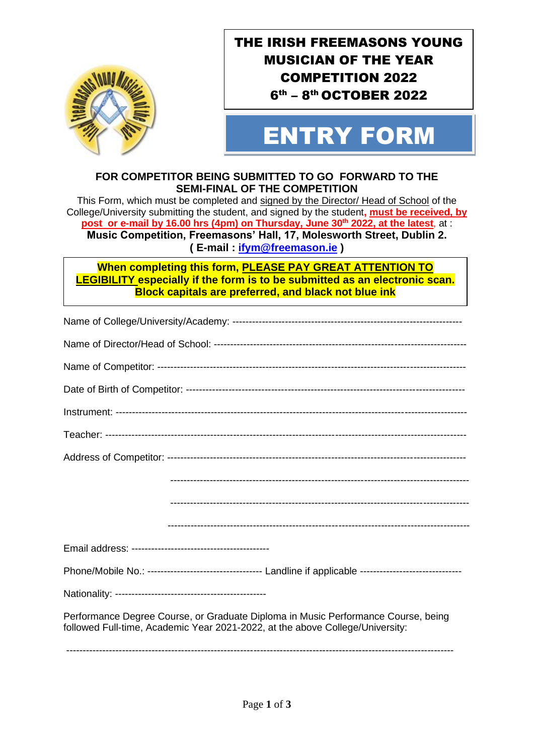

 

## THE IRISH FREEMASONS YOUNG MUSICIAN OF THE YEAR COMPETITION 2022 6<sup>th</sup> – 8<sup>th</sup> OCTOBER 2022

# OCTOBER 2010 ENTRY FORM

#### **FOR COMPETITOR BEING SUBMITTED TO GO FORWARD TO THE SEMI-FINAL OF THE COMPETITION**

This Form, which must be completed and signed by the Director/ Head of School of the College/University submitting the student, and signed by the student**, must be received, by post or e-mail by 16.00 hrs (4pm) on Thursday, June 30th 2022, at the latest**, at : **Music Competition, Freemasons' Hall, 17, Molesworth Street, Dublin 2. ( E-mail : [ifym@freemason.ie](mailto:ifym@freemason.ie) )**

**When completing this form, PLEASE PAY GREAT ATTENTION TO LEGIBILITY especially if the form is to be submitted as an electronic scan. Block capitals are preferred, and black not blue ink**

| Phone/Mobile No.: ----------------------------------- Landline if applicable ------------------------------                                                        |
|--------------------------------------------------------------------------------------------------------------------------------------------------------------------|
|                                                                                                                                                                    |
| Performance Degree Course, or Graduate Diploma in Music Performance Course, being<br>followed Full-time, Academic Year 2021-2022, at the above College/University: |
|                                                                                                                                                                    |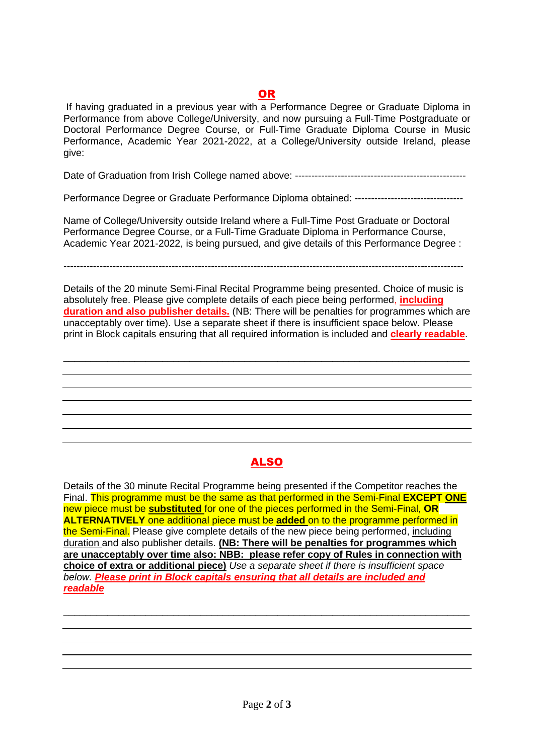### OR

If having graduated in a previous year with a Performance Degree or Graduate Diploma in Performance from above College/University, and now pursuing a Full-Time Postgraduate or Doctoral Performance Degree Course, or Full-Time Graduate Diploma Course in Music Performance, Academic Year 2021-2022, at a College/University outside Ireland, please give:

Date of Graduation from Irish College named above: ----------------------------------------------------

Performance Degree or Graduate Performance Diploma obtained: ---------------------------------

Name of College/University outside Ireland where a Full-Time Post Graduate or Doctoral Performance Degree Course, or a Full-Time Graduate Diploma in Performance Course, Academic Year 2021-2022, is being pursued, and give details of this Performance Degree :

--------------------------------------------------------------------------------------------------------------------------

Details of the 20 minute Semi-Final Recital Programme being presented. Choice of music is absolutely free. Please give complete details of each piece being performed, **including duration and also publisher details.** (NB: There will be penalties for programmes which are unacceptably over time). Use a separate sheet if there is insufficient space below. Please print in Block capitals ensuring that all required information is included and **clearly readable**.

\_\_\_\_\_\_\_\_\_\_\_\_\_\_\_\_\_\_\_\_\_\_\_\_\_\_\_\_\_\_\_\_\_\_\_\_\_\_\_\_\_\_\_\_\_\_\_\_\_\_\_\_\_\_\_\_\_\_\_\_\_\_\_\_\_\_\_\_\_\_\_\_\_\_

#### ALSO

Details of the 30 minute Recital Programme being presented if the Competitor reaches the Final. This programme must be the same as that performed in the Semi-Final **EXCEPT ONE** new piece must be **substituted** for one of the pieces performed in the Semi-Final, **OR ALTERNATIVELY** one additional piece must be **added** on to the programme performed in the Semi-Final. Please give complete details of the new piece being performed, including duration and also publisher details. **(NB: There will be penalties for programmes which are unacceptably over time also: NBB: please refer copy of Rules in connection with choice of extra or additional piece)** *Use a separate sheet if there is insufficient space below. Please print in Block capitals ensuring that all details are included and readable*

\_\_\_\_\_\_\_\_\_\_\_\_\_\_\_\_\_\_\_\_\_\_\_\_\_\_\_\_\_\_\_\_\_\_\_\_\_\_\_\_\_\_\_\_\_\_\_\_\_\_\_\_\_\_\_\_\_\_\_\_\_\_\_\_\_\_\_\_\_\_\_\_\_\_